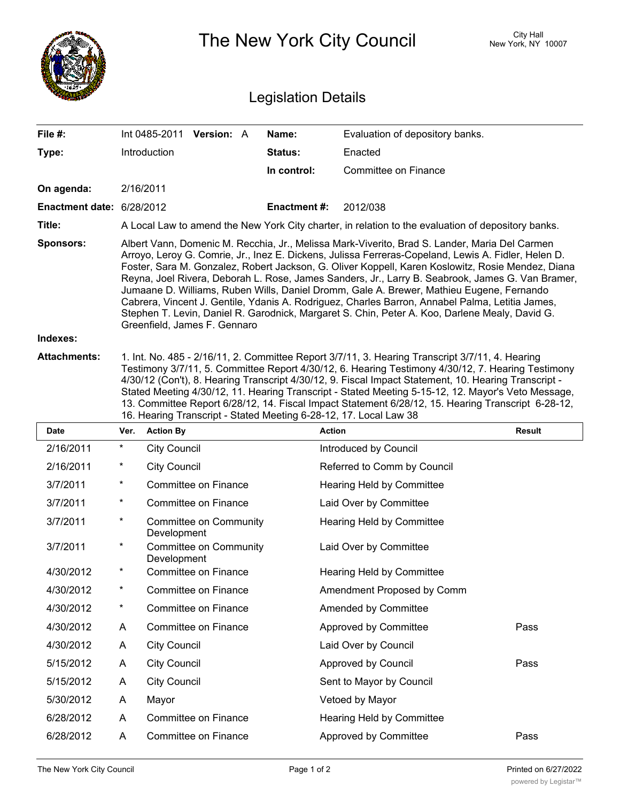

The New York City Council New York, NY 10007